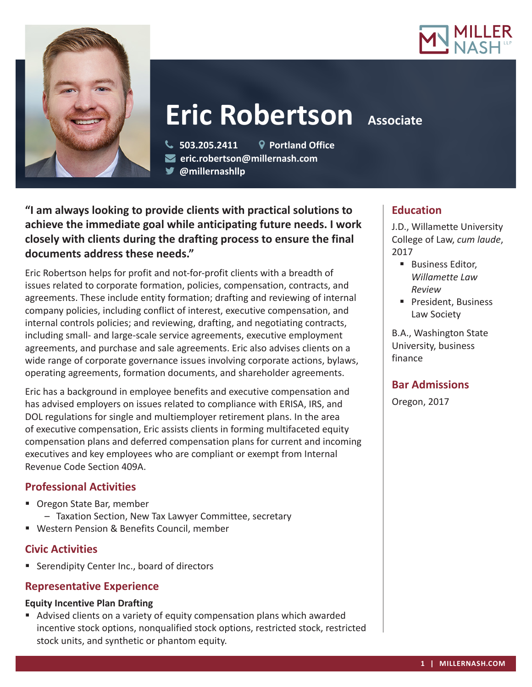



# **Eric Robertson** Associate

 **503.205.2411 Portland Office eric.robertson@millernash.com @millernashllp**

**"I am always looking to provide clients with practical solutions to achieve the immediate goal while anticipating future needs. I work closely with clients during the drafting process to ensure the final documents address these needs."**

Eric Robertson helps for profit and not-for-profit clients with a breadth of issues related to corporate formation, policies, compensation, contracts, and agreements. These include entity formation; drafting and reviewing of internal company policies, including conflict of interest, executive compensation, and internal controls policies; and reviewing, drafting, and negotiating contracts, including small- and large-scale service agreements, executive employment agreements, and purchase and sale agreements. Eric also advises clients on a wide range of corporate governance issues involving corporate actions, bylaws, operating agreements, formation documents, and shareholder agreements.

Eric has a background in employee benefits and executive compensation and has advised employers on issues related to compliance with ERISA, IRS, and DOL regulations for single and multiemployer retirement plans. In the area of executive compensation, Eric assists clients in forming multifaceted equity compensation plans and deferred compensation plans for current and incoming executives and key employees who are compliant or exempt from Internal Revenue Code Section 409A.

## **Professional Activities**

- Oregon State Bar, member
	- Taxation Section, New Tax Lawyer Committee, secretary
- Western Pension & Benefits Council, member

## **Civic Activities**

**Serendipity Center Inc., board of directors** 

## **Representative Experience**

## **Equity Incentive Plan Drafting**

 Advised clients on a variety of equity compensation plans which awarded incentive stock options, nonqualified stock options, restricted stock, restricted stock units, and synthetic or phantom equity.

### **Education**

J.D., Willamette University College of Law, *cum laude*, 2017

- **Business Editor,** *Willamette Law Review*
- **President, Business** Law Society

B.A., Washington State University, business finance

## **Bar Admissions**

Oregon, 2017